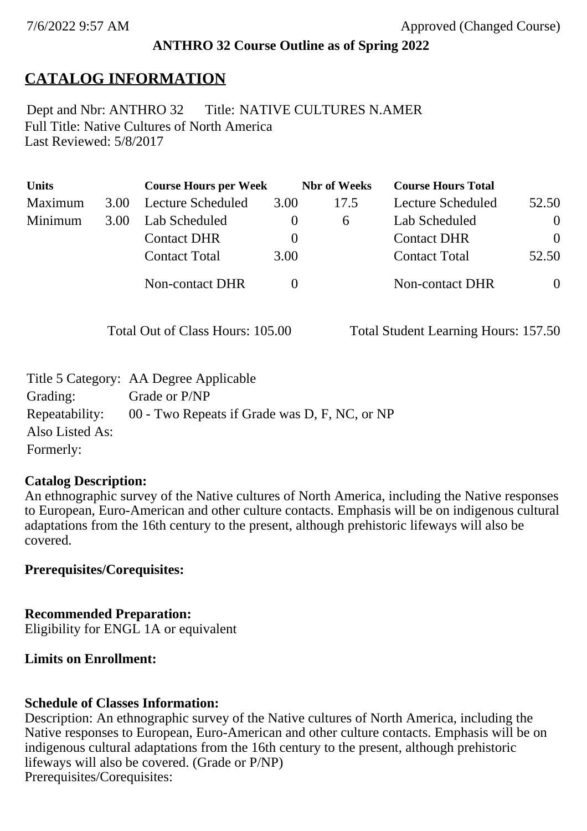## **ANTHRO 32 Course Outline as of Spring 2022**

# **CATALOG INFORMATION**

Full Title: Native Cultures of North America Last Reviewed: 5/8/2017 Dept and Nbr: ANTHRO 32 Title: NATIVE CULTURES N.AMER

| <b>Units</b> |      | <b>Course Hours per Week</b> |              | <b>Nbr</b> of Weeks | <b>Course Hours Total</b> |                |
|--------------|------|------------------------------|--------------|---------------------|---------------------------|----------------|
| Maximum      | 3.00 | Lecture Scheduled            | 3.00         | 17.5                | Lecture Scheduled         | 52.50          |
| Minimum      | 3.00 | Lab Scheduled                | $\theta$     | 6                   | Lab Scheduled             | $\theta$       |
|              |      | <b>Contact DHR</b>           | $\theta$     |                     | <b>Contact DHR</b>        | $\Omega$       |
|              |      | <b>Contact Total</b>         | 3.00         |                     | <b>Contact Total</b>      | 52.50          |
|              |      | Non-contact DHR              | $\mathbf{0}$ |                     | <b>Non-contact DHR</b>    | $\overline{0}$ |

Total Out of Class Hours: 105.00 Total Student Learning Hours: 157.50

|                 | Title 5 Category: AA Degree Applicable                       |
|-----------------|--------------------------------------------------------------|
| Grading:        | Grade or P/NP                                                |
|                 | Repeatability: 00 - Two Repeats if Grade was D, F, NC, or NP |
| Also Listed As: |                                                              |
| Formerly:       |                                                              |

## **Catalog Description:**

An ethnographic survey of the Native cultures of North America, including the Native responses to European, Euro-American and other culture contacts. Emphasis will be on indigenous cultural adaptations from the 16th century to the present, although prehistoric lifeways will also be covered.

## **Prerequisites/Corequisites:**

**Recommended Preparation:** Eligibility for ENGL 1A or equivalent

# **Limits on Enrollment:**

# **Schedule of Classes Information:**

Description: An ethnographic survey of the Native cultures of North America, including the Native responses to European, Euro-American and other culture contacts. Emphasis will be on indigenous cultural adaptations from the 16th century to the present, although prehistoric lifeways will also be covered. (Grade or P/NP) Prerequisites/Corequisites: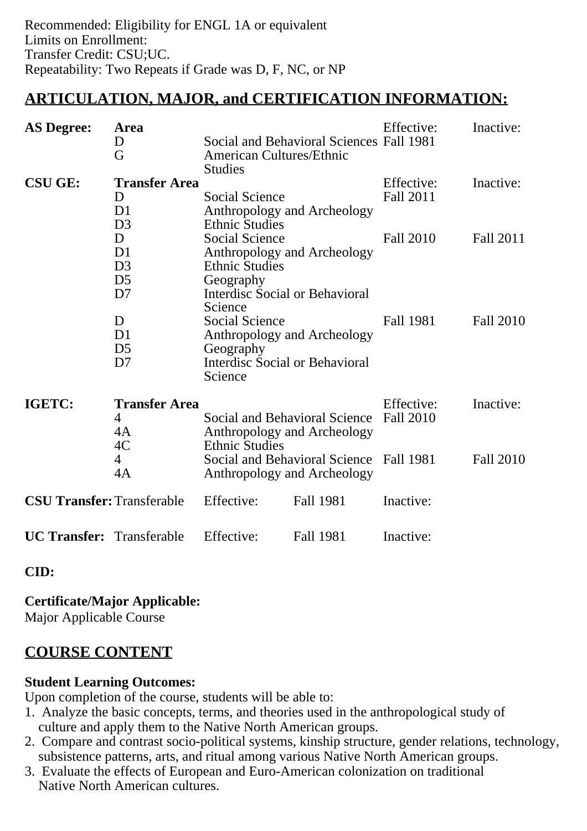## **ARTICULATION, MAJOR, and CERTIFICATION INFORMATION:**

| <b>AS Degree:</b>                 | Area                 |                                                                                                                                                                 | Effective:       | Inactive:        |                  |
|-----------------------------------|----------------------|-----------------------------------------------------------------------------------------------------------------------------------------------------------------|------------------|------------------|------------------|
|                                   | D                    | Social and Behavioral Sciences Fall 1981                                                                                                                        |                  |                  |                  |
|                                   | G                    | <b>American Cultures/Ethnic</b>                                                                                                                                 |                  |                  |                  |
|                                   |                      | <b>Studies</b>                                                                                                                                                  |                  |                  |                  |
| <b>CSU GE:</b>                    | <b>Transfer Area</b> |                                                                                                                                                                 |                  | Effective:       | Inactive:        |
|                                   | D                    | Social Science                                                                                                                                                  |                  | Fall 2011        |                  |
|                                   | D <sub>1</sub>       | Anthropology and Archeology                                                                                                                                     |                  |                  |                  |
|                                   | D <sub>3</sub>       | <b>Ethnic Studies</b>                                                                                                                                           |                  |                  |                  |
|                                   | D                    | <b>Social Science</b>                                                                                                                                           |                  | <b>Fall 2010</b> | Fall 2011        |
|                                   | D <sub>1</sub>       | Anthropology and Archeology                                                                                                                                     |                  |                  |                  |
|                                   | D <sub>3</sub>       | <b>Ethnic Studies</b>                                                                                                                                           |                  |                  |                  |
|                                   | D <sub>5</sub>       | Geography                                                                                                                                                       |                  |                  |                  |
|                                   | D <sub>7</sub>       | <b>Interdisc Social or Behavioral</b><br>Science                                                                                                                |                  |                  |                  |
|                                   | D                    | <b>Social Science</b>                                                                                                                                           |                  | Fall 1981        | <b>Fall 2010</b> |
|                                   | D <sub>1</sub>       | Anthropology and Archeology                                                                                                                                     |                  |                  |                  |
|                                   | D <sub>5</sub>       | Geography                                                                                                                                                       |                  |                  |                  |
|                                   | D7                   | <b>Interdisc Social or Behavioral</b>                                                                                                                           |                  |                  |                  |
|                                   |                      | Science                                                                                                                                                         |                  |                  |                  |
| IGETC:                            | <b>Transfer Area</b> |                                                                                                                                                                 | Effective:       | Inactive:        |                  |
|                                   | 4                    | Social and Behavioral Science<br>Anthropology and Archeology<br><b>Ethnic Studies</b><br>Social and Behavioral Science Fall 1981<br>Anthropology and Archeology |                  | <b>Fall 2010</b> |                  |
|                                   | 4A                   |                                                                                                                                                                 |                  |                  |                  |
|                                   | 4C                   |                                                                                                                                                                 |                  |                  |                  |
|                                   | 4                    |                                                                                                                                                                 |                  |                  | Fall 2010        |
|                                   | 4A                   |                                                                                                                                                                 |                  |                  |                  |
| <b>CSU Transfer: Transferable</b> |                      | Effective:                                                                                                                                                      | <b>Fall 1981</b> | Inactive:        |                  |
| <b>UC Transfer:</b> Transferable  |                      | Effective:                                                                                                                                                      | <b>Fall 1981</b> | Inactive:        |                  |

**CID:**

**Certificate/Major Applicable:**  [Major Applicable Course](SR_ClassCheck.aspx?CourseKey=ANTHRO32)

## **COURSE CONTENT**

#### **Student Learning Outcomes:**

Upon completion of the course, students will be able to:

- 1. Analyze the basic concepts, terms, and theories used in the anthropological study of culture and apply them to the Native North American groups.
- 2. Compare and contrast socio-political systems, kinship structure, gender relations, technology, subsistence patterns, arts, and ritual among various Native North American groups.
- 3. Evaluate the effects of European and Euro-American colonization on traditional Native North American cultures.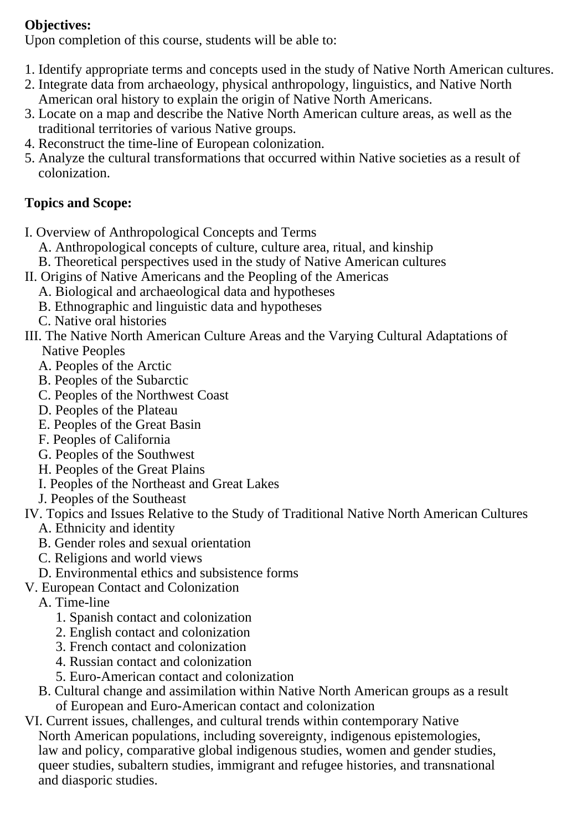#### **Objectives:**

Upon completion of this course, students will be able to:

- 1. Identify appropriate terms and concepts used in the study of Native North American cultures.
- 2. Integrate data from archaeology, physical anthropology, linguistics, and Native North American oral history to explain the origin of Native North Americans.
- 3. Locate on a map and describe the Native North American culture areas, as well as the traditional territories of various Native groups.
- 4. Reconstruct the time-line of European colonization.
- 5. Analyze the cultural transformations that occurred within Native societies as a result of colonization.

## **Topics and Scope:**

- I. Overview of Anthropological Concepts and Terms
	- A. Anthropological concepts of culture, culture area, ritual, and kinship
	- B. Theoretical perspectives used in the study of Native American cultures
- II. Origins of Native Americans and the Peopling of the Americas
	- A. Biological and archaeological data and hypotheses
	- B. Ethnographic and linguistic data and hypotheses
	- C. Native oral histories
- III. The Native North American Culture Areas and the Varying Cultural Adaptations of Native Peoples
	- A. Peoples of the Arctic
	- B. Peoples of the Subarctic
	- C. Peoples of the Northwest Coast
	- D. Peoples of the Plateau
	- E. Peoples of the Great Basin
	- F. Peoples of California
	- G. Peoples of the Southwest
	- H. Peoples of the Great Plains
	- I. Peoples of the Northeast and Great Lakes
	- J. Peoples of the Southeast
- IV. Topics and Issues Relative to the Study of Traditional Native North American Cultures
	- A. Ethnicity and identity
	- B. Gender roles and sexual orientation
	- C. Religions and world views
	- D. Environmental ethics and subsistence forms
- V. European Contact and Colonization
	- A. Time-line
		- 1. Spanish contact and colonization
		- 2. English contact and colonization
		- 3. French contact and colonization
		- 4. Russian contact and colonization
		- 5. Euro-American contact and colonization
	- B. Cultural change and assimilation within Native North American groups as a result of European and Euro-American contact and colonization
- VI. Current issues, challenges, and cultural trends within contemporary Native North American populations, including sovereignty, indigenous epistemologies, law and policy, comparative global indigenous studies, women and gender studies, queer studies, subaltern studies, immigrant and refugee histories, and transnational and diasporic studies.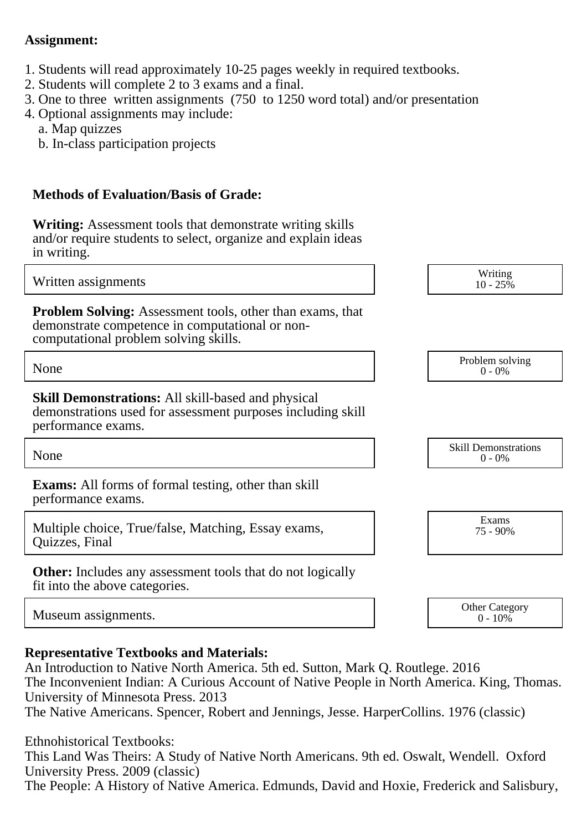#### **Assignment:**

- 1. Students will read approximately 10-25 pages weekly in required textbooks.
- 2. Students will complete 2 to 3 exams and a final.
- 3. One to three written assignments (750 to 1250 word total) and/or presentation
- 4. Optional assignments may include:
	- a. Map quizzes
	- b. In-class participation projects

#### **Methods of Evaluation/Basis of Grade:**

**Writing:** Assessment tools that demonstrate writing skills and/or require students to select, organize and explain ideas in writing.

Written assignments and the set of the set of the set of the set of the set of the set of the set of the set of the set of the set of the set of the set of the set of the set of the set of the set of the set of the set of

**Problem Solving:** Assessment tools, other than exams, that demonstrate competence in computational or noncomputational problem solving skills.

None Problem solving and the Problem solving problem solving and the Problem solving problem solving  $0 - 0\%$ 

**Skill Demonstrations:** All skill-based and physical demonstrations used for assessment purposes including skill performance exams.

**Exams:** All forms of formal testing, other than skill performance exams.

Multiple choice, True/false, Matching, Essay exams, Quizzes, Final

**Other:** Includes any assessment tools that do not logically fit into the above categories.

Museum assignments. Communication of the Category of the Category of the Category of the Category of the Category of the Category of the Category of the Category of the Category of the Category of the Category of the Categ

#### **Representative Textbooks and Materials:**

An Introduction to Native North America. 5th ed. Sutton, Mark Q. Routlege. 2016 The Inconvenient Indian: A Curious Account of Native People in North America. King, Thomas. University of Minnesota Press. 2013 The Native Americans. Spencer, Robert and Jennings, Jesse. HarperCollins. 1976 (classic)

Ethnohistorical Textbooks:

This Land Was Theirs: A Study of Native North Americans. 9th ed. Oswalt, Wendell. Oxford University Press. 2009 (classic)

The People: A History of Native America. Edmunds, David and Hoxie, Frederick and Salisbury,

None Skill Demonstrations<br>  $\begin{array}{c} \text{Skill,} \\ 0 \text{ - } 0\% \end{array}$  $0 - 0\%$ 

 $10 - 25\%$ 

0 - 0%

Exams 75 - 90%

 $0 - 10\%$